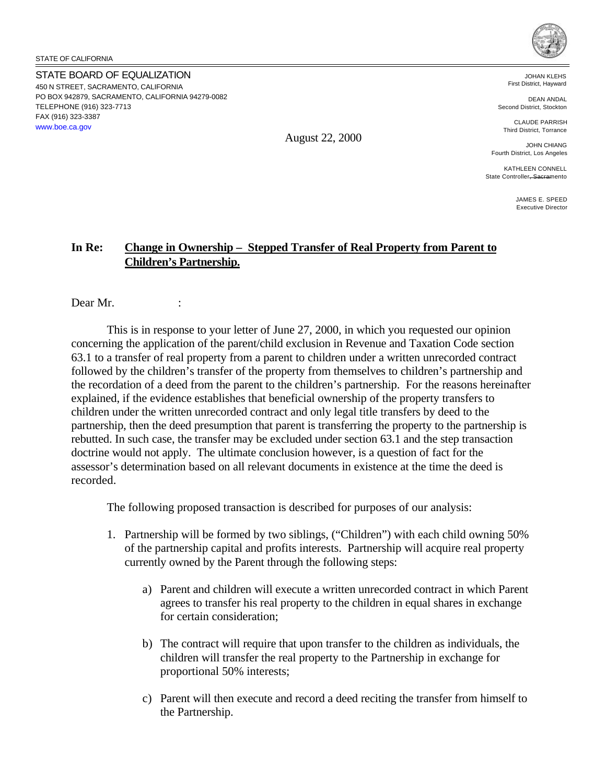STATE OF CALIFORNIA

STATE BOARD OF EQUALIZATION 450 N STREET, SACRAMENTO, CALIFORNIA PO BOX 942879, SACRAMENTO, CALIFORNIA 94279-0082 TELEPHONE (916) 323-7713 FAX (916) 323-3387 <www.boe.ca.gov>



JOHAN KLEHS First District, Hayward

DEAN ANDAL Second District, Stockton

CLAUDE PARRISH Third District, Torrance

JOHN CHIANG Fourth District, Los Angeles

KATHLEEN CONNELL State Controller, Sacramento

> JAMES E. SPEED Executive Director

# **In Re: Change in Ownership – Stepped Transfer of Real Property from Parent to Children's Partnership.**

Dear Mr.

This is in response to your letter of June 27, 2000, in which you requested our opinion concerning the application of the parent/child exclusion in Revenue and Taxation Code section 63.1 to a transfer of real property from a parent to children under a written unrecorded contract followed by the children's transfer of the property from themselves to children's partnership and the recordation of a deed from the parent to the children's partnership. For the reasons hereinafter explained, if the evidence establishes that beneficial ownership of the property transfers to children under the written unrecorded contract and only legal title transfers by deed to the partnership, then the deed presumption that parent is transferring the property to the partnership is rebutted. In such case, the transfer may be excluded under section 63.1 and the step transaction doctrine would not apply. The ultimate conclusion however, is a question of fact for the assessor's determination based on all relevant documents in existence at the time the deed is recorded.

The following proposed transaction is described for purposes of our analysis:

- 1. Partnership will be formed by two siblings, ("Children") with each child owning 50% of the partnership capital and profits interests. Partnership will acquire real property currently owned by the Parent through the following steps:
	- a) Parent and children will execute a written unrecorded contract in which Parent agrees to transfer his real property to the children in equal shares in exchange for certain consideration;
	- b) The contract will require that upon transfer to the children as individuals, the children will transfer the real property to the Partnership in exchange for proportional 50% interests;
	- c) Parent will then execute and record a deed reciting the transfer from himself to the Partnership.

August 22, 2000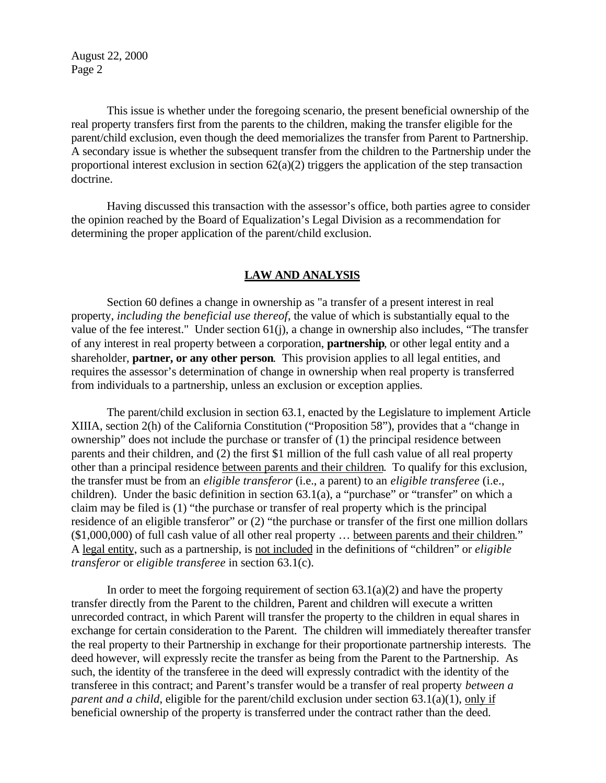This issue is whether under the foregoing scenario, the present beneficial ownership of the real property transfers first from the parents to the children, making the transfer eligible for the parent/child exclusion, even though the deed memorializes the transfer from Parent to Partnership. A secondary issue is whether the subsequent transfer from the children to the Partnership under the proportional interest exclusion in section  $62(a)(2)$  triggers the application of the step transaction doctrine.

Having discussed this transaction with the assessor's office, both parties agree to consider the opinion reached by the Board of Equalization's Legal Division as a recommendation for determining the proper application of the parent/child exclusion.

#### **LAW AND ANALYSIS**

Section 60 defines a change in ownership as "a transfer of a present interest in real property, *including the beneficial use thereof*, the value of which is substantially equal to the value of the fee interest." Under section 61(j), a change in ownership also includes, "The transfer of any interest in real property between a corporation, **partnership**, or other legal entity and a shareholder, **partner, or any other person**. This provision applies to all legal entities, and requires the assessor's determination of change in ownership when real property is transferred from individuals to a partnership, unless an exclusion or exception applies.

The parent/child exclusion in section 63.1, enacted by the Legislature to implement Article XIIIA, section 2(h) of the California Constitution ("Proposition 58"), provides that a "change in ownership" does not include the purchase or transfer of (1) the principal residence between parents and their children, and (2) the first \$1 million of the full cash value of all real property other than a principal residence between parents and their children. To qualify for this exclusion, the transfer must be from an *eligible transferor* (i.e., a parent) to an *eligible transferee* (i.e., children). Under the basic definition in section 63.1(a), a "purchase" or "transfer" on which a claim may be filed is (1) "the purchase or transfer of real property which is the principal residence of an eligible transferor" or (2) "the purchase or transfer of the first one million dollars (\$1,000,000) of full cash value of all other real property … between parents and their children." A legal entity, such as a partnership, is not included in the definitions of "children" or *eligible transferor* or *eligible transferee* in section 63.1(c).

In order to meet the forgoing requirement of section  $63.1(a)(2)$  and have the property transfer directly from the Parent to the children, Parent and children will execute a written unrecorded contract, in which Parent will transfer the property to the children in equal shares in exchange for certain consideration to the Parent. The children will immediately thereafter transfer the real property to their Partnership in exchange for their proportionate partnership interests. The deed however, will expressly recite the transfer as being from the Parent to the Partnership. As such, the identity of the transferee in the deed will expressly contradict with the identity of the transferee in this contract; and Parent's transfer would be a transfer of real property *between a parent and a child*, eligible for the parent/child exclusion under section 63.1(a)(1), only if beneficial ownership of the property is transferred under the contract rather than the deed.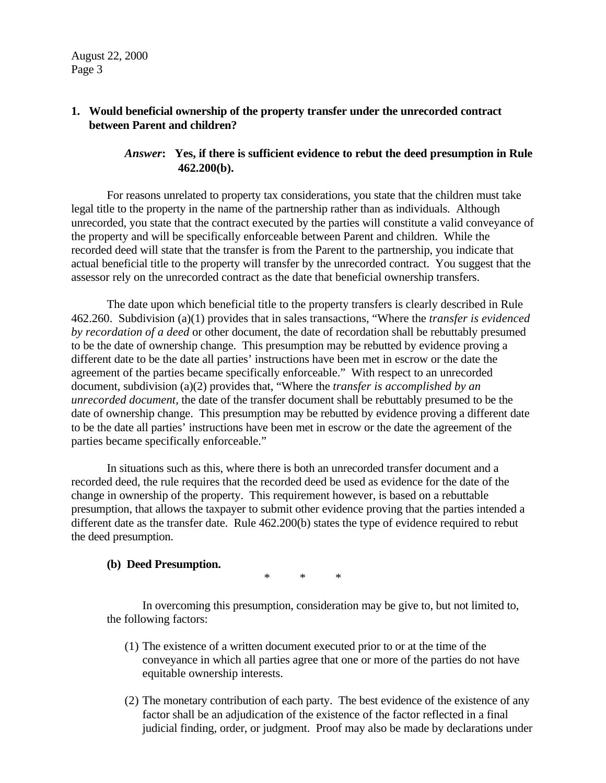## **1. Would beneficial ownership of the property transfer under the unrecorded contract between Parent and children?**

## *Answer***: Yes, if there is sufficient evidence to rebut the deed presumption in Rule 462.200(b).**

For reasons unrelated to property tax considerations, you state that the children must take legal title to the property in the name of the partnership rather than as individuals. Although unrecorded, you state that the contract executed by the parties will constitute a valid conveyance of the property and will be specifically enforceable between Parent and children. While the recorded deed will state that the transfer is from the Parent to the partnership, you indicate that actual beneficial title to the property will transfer by the unrecorded contract. You suggest that the assessor rely on the unrecorded contract as the date that beneficial ownership transfers.

The date upon which beneficial title to the property transfers is clearly described in Rule 462.260. Subdivision (a)(1) provides that in sales transactions, "Where the *transfer is evidenced by recordation of a deed* or other document, the date of recordation shall be rebuttably presumed to be the date of ownership change. This presumption may be rebutted by evidence proving a different date to be the date all parties' instructions have been met in escrow or the date the agreement of the parties became specifically enforceable." With respect to an unrecorded document, subdivision (a)(2) provides that, "Where the *transfer is accomplished by an unrecorded document*, the date of the transfer document shall be rebuttably presumed to be the date of ownership change. This presumption may be rebutted by evidence proving a different date to be the date all parties' instructions have been met in escrow or the date the agreement of the parties became specifically enforceable."

In situations such as this, where there is both an unrecorded transfer document and a recorded deed, the rule requires that the recorded deed be used as evidence for the date of the change in ownership of the property. This requirement however, is based on a rebuttable presumption, that allows the taxpayer to submit other evidence proving that the parties intended a different date as the transfer date. Rule 462.200(b) states the type of evidence required to rebut the deed presumption.

#### **(b) Deed Presumption.**

\* \* \*

In overcoming this presumption, consideration may be give to, but not limited to, the following factors:

- (1) The existence of a written document executed prior to or at the time of the conveyance in which all parties agree that one or more of the parties do not have equitable ownership interests.
- (2) The monetary contribution of each party. The best evidence of the existence of any factor shall be an adjudication of the existence of the factor reflected in a final judicial finding, order, or judgment. Proof may also be made by declarations under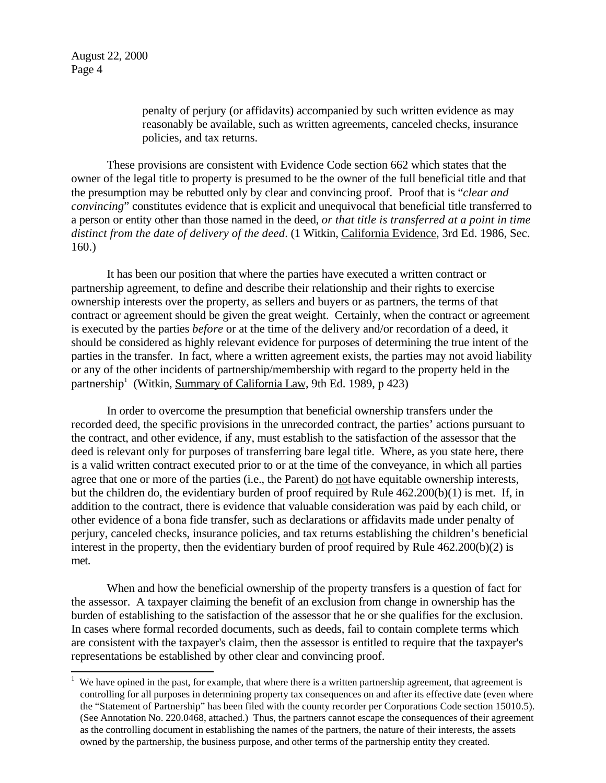l

penalty of perjury (or affidavits) accompanied by such written evidence as may reasonably be available, such as written agreements, canceled checks, insurance policies, and tax returns.

These provisions are consistent with Evidence Code section 662 which states that the owner of the legal title to property is presumed to be the owner of the full beneficial title and that the presumption may be rebutted only by clear and convincing proof. Proof that is "*clear and convincing*" constitutes evidence that is explicit and unequivocal that beneficial title transferred to a person or entity other than those named in the deed, *or that title is transferred at a point in time distinct from the date of delivery of the deed*. (1 Witkin, California Evidence, 3rd Ed. 1986, Sec. 160.)

It has been our position that where the parties have executed a written contract or partnership agreement, to define and describe their relationship and their rights to exercise ownership interests over the property, as sellers and buyers or as partners, the terms of that contract or agreement should be given the great weight. Certainly, when the contract or agreement is executed by the parties *before* or at the time of the delivery and/or recordation of a deed, it should be considered as highly relevant evidence for purposes of determining the true intent of the parties in the transfer. In fact, where a written agreement exists, the parties may not avoid liability or any of the other incidents of partnership/membership with regard to the property held in the partnership<sup>1</sup> (Witkin, Summary of California Law, 9th Ed. 1989, p 423)

In order to overcome the presumption that beneficial ownership transfers under the recorded deed, the specific provisions in the unrecorded contract, the parties' actions pursuant to the contract, and other evidence, if any, must establish to the satisfaction of the assessor that the deed is relevant only for purposes of transferring bare legal title. Where, as you state here, there is a valid written contract executed prior to or at the time of the conveyance, in which all parties agree that one or more of the parties (i.e., the Parent) do not have equitable ownership interests, but the children do, the evidentiary burden of proof required by Rule 462.200(b)(1) is met. If, in addition to the contract, there is evidence that valuable consideration was paid by each child, or other evidence of a bona fide transfer, such as declarations or affidavits made under penalty of perjury, canceled checks, insurance policies, and tax returns establishing the children's beneficial interest in the property, then the evidentiary burden of proof required by Rule 462.200(b)(2) is met.

When and how the beneficial ownership of the property transfers is a question of fact for the assessor. A taxpayer claiming the benefit of an exclusion from change in ownership has the burden of establishing to the satisfaction of the assessor that he or she qualifies for the exclusion. In cases where formal recorded documents, such as deeds, fail to contain complete terms which are consistent with the taxpayer's claim, then the assessor is entitled to require that the taxpayer's representations be established by other clear and convincing proof.

<sup>1</sup>  We have opined in the past, for example, that where there is a written partnership agreement, that agreement is controlling for all purposes in determining property tax consequences on and after its effective date (even where the "Statement of Partnership" has been filed with the county recorder per Corporations Code section 15010.5). (See Annotation No. 220.0468, attached.) Thus, the partners cannot escape the consequences of their agreement as the controlling document in establishing the names of the partners, the nature of their interests, the assets owned by the partnership, the business purpose, and other terms of the partnership entity they created.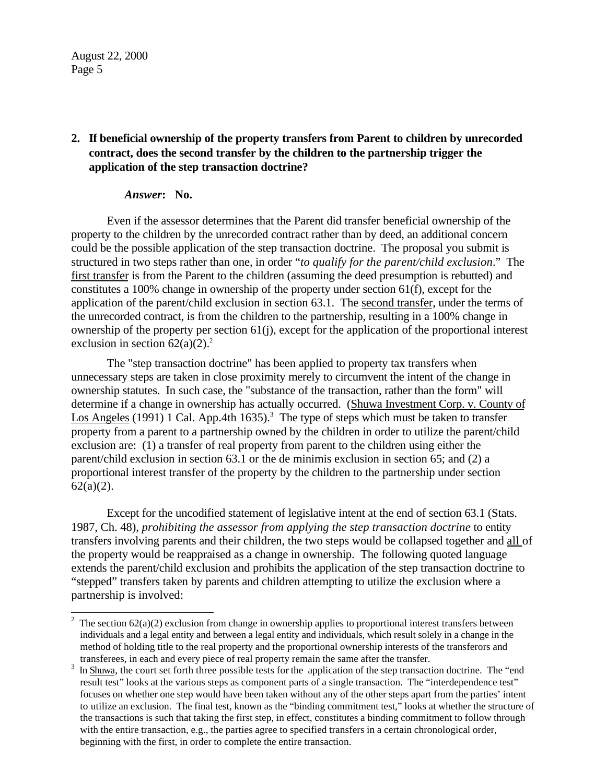## **2. If beneficial ownership of the property transfers from Parent to children by unrecorded contract, does the second transfer by the children to the partnership trigger the application of the step transaction doctrine?**

#### *Answer***: No.**

Even if the assessor determines that the Parent did transfer beneficial ownership of the property to the children by the unrecorded contract rather than by deed, an additional concern could be the possible application of the step transaction doctrine. The proposal you submit is structured in two steps rather than one, in order "*to qualify for the parent/child exclusion*." The first transfer is from the Parent to the children (assuming the deed presumption is rebutted) and constitutes a 100% change in ownership of the property under section 61(f), except for the application of the parent/child exclusion in section 63.1. The second transfer, under the terms of the unrecorded contract, is from the children to the partnership, resulting in a 100% change in ownership of the property per section 61(j), except for the application of the proportional interest exclusion in section  $62(a)(2)$ .<sup>2</sup>

The "step transaction doctrine" has been applied to property tax transfers when unnecessary steps are taken in close proximity merely to circumvent the intent of the change in ownership statutes. In such case, the "substance of the transaction, rather than the form" will determine if a change in ownership has actually occurred. (Shuwa Investment Corp. v. County of Los Angeles (1991) 1 Cal. App.4th 1635).<sup>3</sup> The type of steps which must be taken to transfer property from a parent to a partnership owned by the children in order to utilize the parent/child exclusion are: (1) a transfer of real property from parent to the children using either the parent/child exclusion in section 63.1 or the de minimis exclusion in section 65; and (2) a proportional interest transfer of the property by the children to the partnership under section  $62(a)(2)$ .

Except for the uncodified statement of legislative intent at the end of section 63.1 (Stats. 1987, Ch. 48), *prohibiting the assessor from applying the step transaction doctrine* to entity transfers involving parents and their children, the two steps would be collapsed together and all of the property would be reappraised as a change in ownership. The following quoted language extends the parent/child exclusion and prohibits the application of the step transaction doctrine to "stepped" transfers taken by parents and children attempting to utilize the exclusion where a partnership is involved:

<sup>&</sup>lt;sup>2</sup> The section  $62(a)(2)$  exclusion from change in ownership applies to proportional interest transfers between individuals and a legal entity and between a legal entity and individuals, which result solely in a change in the method of holding title to the real property and the proportional ownership interests of the transferors and transferees, in each and every piece of real property remain the same after the transfer.

In Shuwa, the court set forth three possible tests for the application of the step transaction doctrine. The "end result test" looks at the various steps as component parts of a single transaction. The "interdependence test" focuses on whether one step would have been taken without any of the other steps apart from the parties' intent to utilize an exclusion. The final test, known as the "binding commitment test," looks at whether the structure of the transactions is such that taking the first step, in effect, constitutes a binding commitment to follow through with the entire transaction, e.g., the parties agree to specified transfers in a certain chronological order, beginning with the first, in order to complete the entire transaction.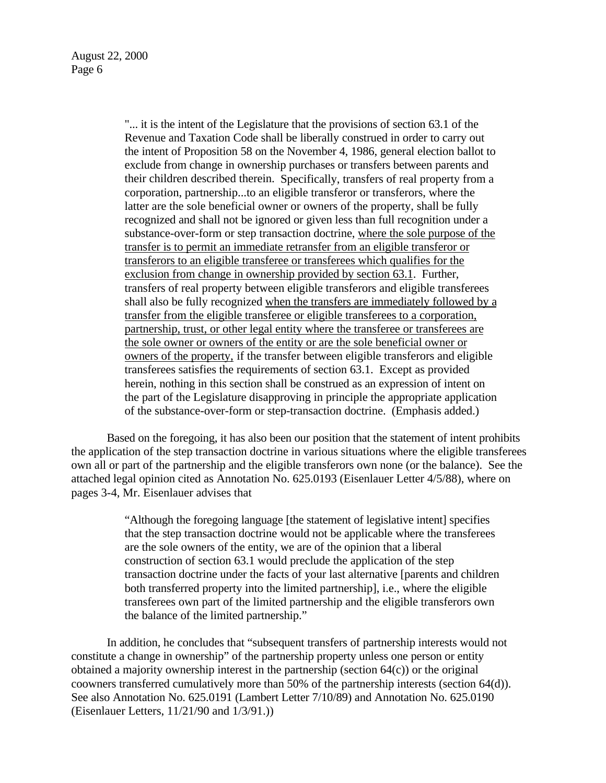"... it is the intent of the Legislature that the provisions of section 63.1 of the Revenue and Taxation Code shall be liberally construed in order to carry out the intent of Proposition 58 on the November 4, 1986, general election ballot to exclude from change in ownership purchases or transfers between parents and their children described therein. Specifically, transfers of real property from a corporation, partnership...to an eligible transferor or transferors, where the latter are the sole beneficial owner or owners of the property, shall be fully recognized and shall not be ignored or given less than full recognition under a substance-over-form or step transaction doctrine, where the sole purpose of the transfer is to permit an immediate retransfer from an eligible transferor or transferors to an eligible transferee or transferees which qualifies for the exclusion from change in ownership provided by section 63.1. Further, transfers of real property between eligible transferors and eligible transferees shall also be fully recognized when the transfers are immediately followed by a transfer from the eligible transferee or eligible transferees to a corporation, partnership, trust, or other legal entity where the transferee or transferees are the sole owner or owners of the entity or are the sole beneficial owner or owners of the property, if the transfer between eligible transferors and eligible transferees satisfies the requirements of section 63.1. Except as provided herein, nothing in this section shall be construed as an expression of intent on the part of the Legislature disapproving in principle the appropriate application of the substance-over-form or step-transaction doctrine. (Emphasis added.)

Based on the foregoing, it has also been our position that the statement of intent prohibits the application of the step transaction doctrine in various situations where the eligible transferees own all or part of the partnership and the eligible transferors own none (or the balance). See the attached legal opinion cited as Annotation No. 625.0193 (Eisenlauer Letter 4/5/88), where on pages 3-4, Mr. Eisenlauer advises that

> "Although the foregoing language [the statement of legislative intent] specifies that the step transaction doctrine would not be applicable where the transferees are the sole owners of the entity, we are of the opinion that a liberal construction of section 63.1 would preclude the application of the step transaction doctrine under the facts of your last alternative [parents and children both transferred property into the limited partnership], i.e., where the eligible transferees own part of the limited partnership and the eligible transferors own the balance of the limited partnership."

In addition, he concludes that "subsequent transfers of partnership interests would not constitute a change in ownership" of the partnership property unless one person or entity obtained a majority ownership interest in the partnership (section 64(c)) or the original coowners transferred cumulatively more than 50% of the partnership interests (section 64(d)). See also Annotation No. 625.0191 (Lambert Letter 7/10/89) and Annotation No. 625.0190 (Eisenlauer Letters, 11/21/90 and 1/3/91.))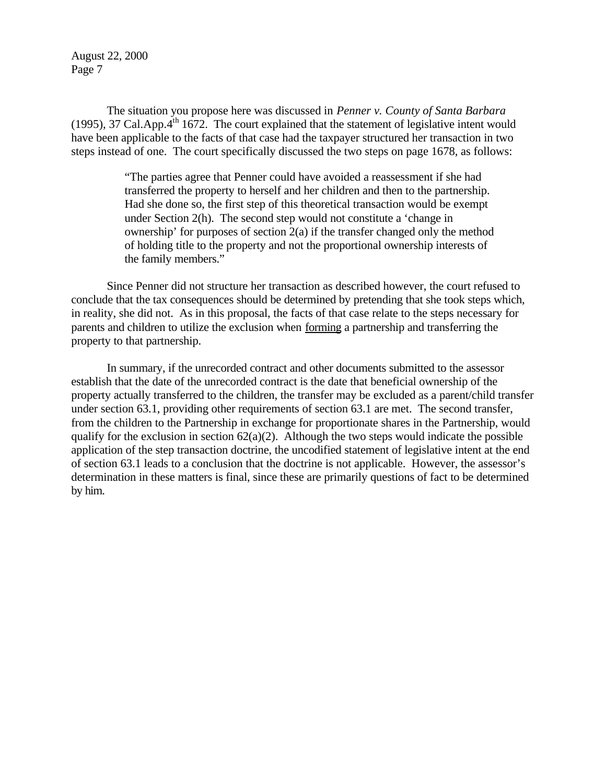The situation you propose here was discussed in *Penner v. County of Santa Barbara*  (1995), 37 Cal.App. $4<sup>th</sup>$  1672. The court explained that the statement of legislative intent would have been applicable to the facts of that case had the taxpayer structured her transaction in two steps instead of one. The court specifically discussed the two steps on page 1678, as follows:

> "The parties agree that Penner could have avoided a reassessment if she had transferred the property to herself and her children and then to the partnership. Had she done so, the first step of this theoretical transaction would be exempt under Section 2(h). The second step would not constitute a 'change in ownership' for purposes of section 2(a) if the transfer changed only the method of holding title to the property and not the proportional ownership interests of the family members."

Since Penner did not structure her transaction as described however, the court refused to conclude that the tax consequences should be determined by pretending that she took steps which, in reality, she did not. As in this proposal, the facts of that case relate to the steps necessary for parents and children to utilize the exclusion when forming a partnership and transferring the property to that partnership.

In summary, if the unrecorded contract and other documents submitted to the assessor establish that the date of the unrecorded contract is the date that beneficial ownership of the property actually transferred to the children, the transfer may be excluded as a parent/child transfer under section 63.1, providing other requirements of section 63.1 are met. The second transfer, from the children to the Partnership in exchange for proportionate shares in the Partnership, would qualify for the exclusion in section  $62(a)(2)$ . Although the two steps would indicate the possible application of the step transaction doctrine, the uncodified statement of legislative intent at the end of section 63.1 leads to a conclusion that the doctrine is not applicable. However, the assessor's determination in these matters is final, since these are primarily questions of fact to be determined by him.